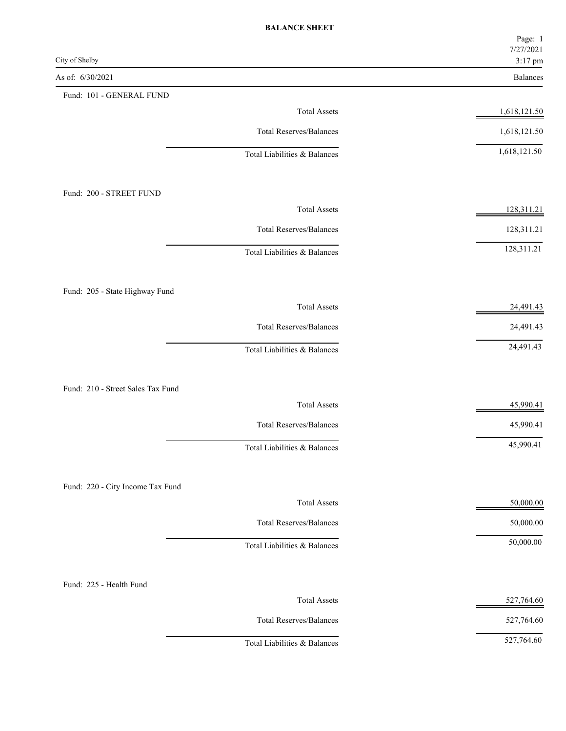|                                   |                                | Page: 1<br>7/27/2021 |
|-----------------------------------|--------------------------------|----------------------|
| City of Shelby                    |                                | 3:17 pm              |
| As of: 6/30/2021                  |                                | Balances             |
| Fund: 101 - GENERAL FUND          | <b>Total Assets</b>            | 1,618,121.50         |
|                                   | <b>Total Reserves/Balances</b> | 1,618,121.50         |
|                                   |                                | 1,618,121.50         |
|                                   | Total Liabilities & Balances   |                      |
| Fund: 200 - STREET FUND           |                                |                      |
|                                   | <b>Total Assets</b>            | 128,311.21           |
|                                   | <b>Total Reserves/Balances</b> | 128,311.21           |
|                                   | Total Liabilities & Balances   | 128,311.21           |
| Fund: 205 - State Highway Fund    |                                |                      |
|                                   | <b>Total Assets</b>            | 24,491.43            |
|                                   | <b>Total Reserves/Balances</b> | 24,491.43            |
|                                   | Total Liabilities & Balances   | 24,491.43            |
| Fund: 210 - Street Sales Tax Fund |                                |                      |
|                                   | <b>Total Assets</b>            | 45,990.41            |
|                                   | <b>Total Reserves/Balances</b> | 45,990.41            |
|                                   | Total Liabilities & Balances   | 45,990.41            |
| Fund: 220 - City Income Tax Fund  |                                |                      |
|                                   | <b>Total Assets</b>            | 50,000.00            |
|                                   | <b>Total Reserves/Balances</b> | 50,000.00            |
|                                   | Total Liabilities & Balances   | 50,000.00            |
| Fund: 225 - Health Fund           |                                |                      |
|                                   | <b>Total Assets</b>            | 527,764.60           |
|                                   | <b>Total Reserves/Balances</b> | 527,764.60           |
|                                   | Total Liabilities & Balances   | 527,764.60           |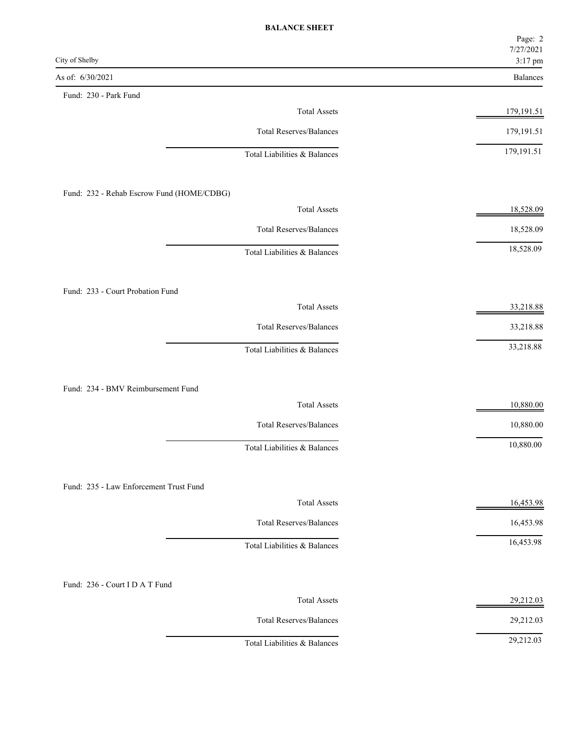|                                           | Page: 2<br>7/27/2021 |
|-------------------------------------------|----------------------|
| City of Shelby                            | 3:17 pm              |
| As of: 6/30/2021                          | Balances             |
| Fund: 230 - Park Fund                     |                      |
| <b>Total Assets</b>                       | 179,191.51           |
| <b>Total Reserves/Balances</b>            | 179,191.51           |
| Total Liabilities & Balances              | 179, 191.51          |
| Fund: 232 - Rehab Escrow Fund (HOME/CDBG) |                      |
| <b>Total Assets</b>                       | 18,528.09            |
| <b>Total Reserves/Balances</b>            | 18,528.09            |
| Total Liabilities & Balances              | 18,528.09            |
| Fund: 233 - Court Probation Fund          |                      |
| <b>Total Assets</b>                       | 33,218.88            |
| <b>Total Reserves/Balances</b>            | 33,218.88            |
| Total Liabilities & Balances              | 33,218.88            |
| Fund: 234 - BMV Reimbursement Fund        |                      |
| <b>Total Assets</b>                       | 10,880.00            |
| <b>Total Reserves/Balances</b>            | 10,880.00            |
| Total Liabilities & Balances              | 10,880.00            |
| Fund: 235 - Law Enforcement Trust Fund    |                      |
| <b>Total Assets</b>                       | 16,453.98            |
| <b>Total Reserves/Balances</b>            | 16,453.98            |
| Total Liabilities & Balances              | 16,453.98            |
| Fund: 236 - Court I D A T Fund            |                      |
| <b>Total Assets</b>                       | 29,212.03            |
| <b>Total Reserves/Balances</b>            | 29,212.03            |
| Total Liabilities & Balances              | 29,212.03            |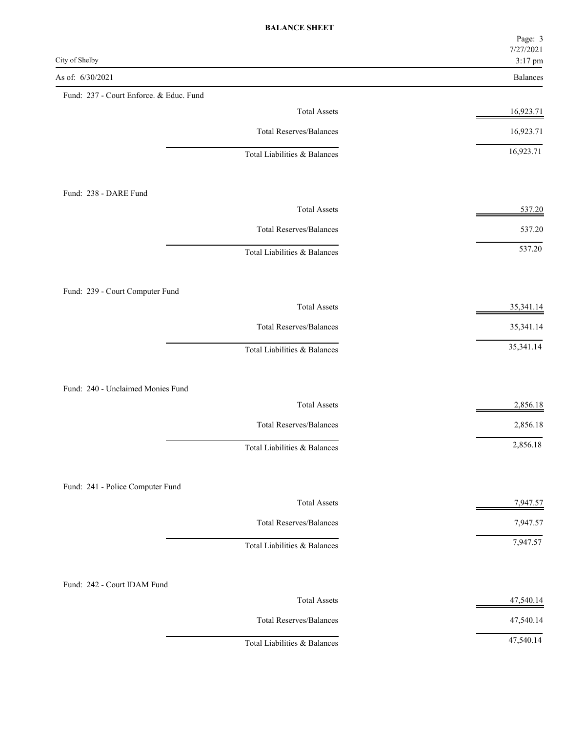|                                         | Page: 3<br>7/27/2021 |
|-----------------------------------------|----------------------|
| City of Shelby                          | 3:17 pm              |
| As of: 6/30/2021                        | Balances             |
| Fund: 237 - Court Enforce. & Educ. Fund |                      |
| <b>Total Assets</b>                     | 16,923.71            |
| <b>Total Reserves/Balances</b>          | 16,923.71            |
| Total Liabilities & Balances            | 16,923.71            |
| Fund: 238 - DARE Fund                   |                      |
| <b>Total Assets</b>                     | 537.20               |
| <b>Total Reserves/Balances</b>          | 537.20               |
| Total Liabilities & Balances            | 537.20               |
| Fund: 239 - Court Computer Fund         |                      |
| <b>Total Assets</b>                     | 35,341.14            |
| <b>Total Reserves/Balances</b>          | 35,341.14            |
| Total Liabilities & Balances            | 35,341.14            |
| Fund: 240 - Unclaimed Monies Fund       |                      |
| <b>Total Assets</b>                     | 2,856.18             |
| <b>Total Reserves/Balances</b>          | 2,856.18             |
| Total Liabilities & Balances            | 2,856.18             |
| Fund: 241 - Police Computer Fund        |                      |
| <b>Total Assets</b>                     | 7,947.57             |
| <b>Total Reserves/Balances</b>          | 7,947.57             |
| Total Liabilities & Balances            | 7,947.57             |
| Fund: 242 - Court IDAM Fund             |                      |
| <b>Total Assets</b>                     | 47,540.14            |
| <b>Total Reserves/Balances</b>          | 47,540.14            |
| Total Liabilities & Balances            | 47,540.14            |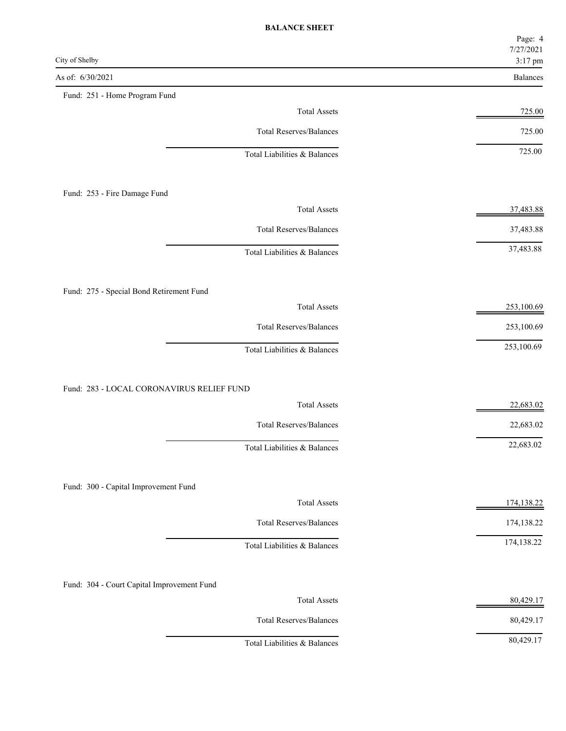|                                            | Page: 4<br>7/27/2021 |
|--------------------------------------------|----------------------|
| City of Shelby                             | 3:17 pm              |
| As of: 6/30/2021                           | Balances             |
| Fund: 251 - Home Program Fund              |                      |
| <b>Total Assets</b>                        | 725.00               |
| <b>Total Reserves/Balances</b>             | 725.00               |
| Total Liabilities & Balances               | 725.00               |
| Fund: 253 - Fire Damage Fund               |                      |
| <b>Total Assets</b>                        | 37,483.88            |
| <b>Total Reserves/Balances</b>             | 37,483.88            |
| Total Liabilities & Balances               | 37,483.88            |
| Fund: 275 - Special Bond Retirement Fund   |                      |
| <b>Total Assets</b>                        | 253,100.69           |
| <b>Total Reserves/Balances</b>             | 253,100.69           |
| Total Liabilities & Balances               | 253,100.69           |
| Fund: 283 - LOCAL CORONAVIRUS RELIEF FUND  |                      |
| <b>Total Assets</b>                        | 22,683.02            |
| <b>Total Reserves/Balances</b>             | 22,683.02            |
| Total Liabilities & Balances               | 22,683.02            |
| Fund: 300 - Capital Improvement Fund       |                      |
| <b>Total Assets</b>                        | 174,138.22           |
| <b>Total Reserves/Balances</b>             | 174,138.22           |
| Total Liabilities & Balances               | 174,138.22           |
| Fund: 304 - Court Capital Improvement Fund |                      |
| <b>Total Assets</b>                        | 80,429.17            |
| <b>Total Reserves/Balances</b>             | 80,429.17            |
| Total Liabilities & Balances               | 80,429.17            |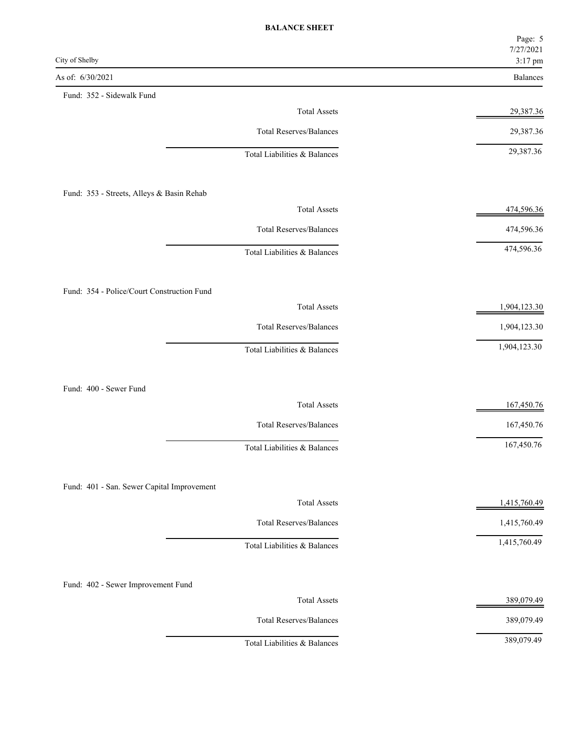|                                            |                                | Page: 5<br>7/27/2021 |
|--------------------------------------------|--------------------------------|----------------------|
| City of Shelby                             |                                | 3:17 pm              |
| As of: 6/30/2021                           |                                | Balances             |
| Fund: 352 - Sidewalk Fund                  | <b>Total Assets</b>            | 29,387.36            |
|                                            | <b>Total Reserves/Balances</b> | 29,387.36            |
|                                            |                                | 29,387.36            |
|                                            | Total Liabilities & Balances   |                      |
| Fund: 353 - Streets, Alleys & Basin Rehab  |                                |                      |
|                                            | <b>Total Assets</b>            | 474,596.36           |
|                                            | <b>Total Reserves/Balances</b> | 474,596.36           |
|                                            | Total Liabilities & Balances   | 474,596.36           |
| Fund: 354 - Police/Court Construction Fund |                                |                      |
|                                            | <b>Total Assets</b>            | 1,904,123.30         |
|                                            | <b>Total Reserves/Balances</b> | 1,904,123.30         |
|                                            | Total Liabilities & Balances   | 1,904,123.30         |
| Fund: 400 - Sewer Fund                     |                                |                      |
|                                            | <b>Total Assets</b>            | 167,450.76           |
|                                            | <b>Total Reserves/Balances</b> | 167,450.76           |
|                                            | Total Liabilities & Balances   | 167,450.76           |
|                                            |                                |                      |
| Fund: 401 - San. Sewer Capital Improvement | <b>Total Assets</b>            | 1,415,760.49         |
|                                            | <b>Total Reserves/Balances</b> | 1,415,760.49         |
|                                            | Total Liabilities & Balances   | 1,415,760.49         |
|                                            |                                |                      |
| Fund: 402 - Sewer Improvement Fund         | <b>Total Assets</b>            | 389,079.49           |
|                                            | <b>Total Reserves/Balances</b> | 389,079.49           |
|                                            | Total Liabilities & Balances   | 389,079.49           |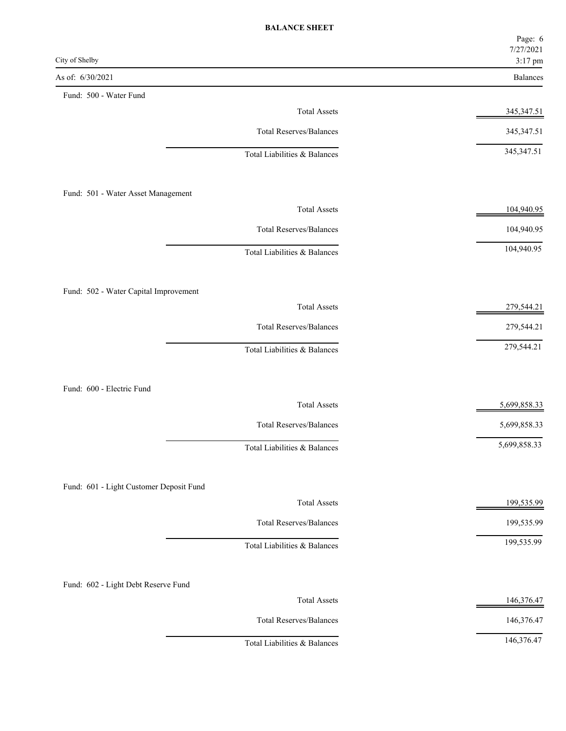|                                               | Page: 6<br>7/27/2021 |
|-----------------------------------------------|----------------------|
| City of Shelby                                | 3:17 pm              |
| As of: 6/30/2021                              | <b>Balances</b>      |
| Fund: 500 - Water Fund<br><b>Total Assets</b> | 345,347.51           |
|                                               |                      |
| <b>Total Reserves/Balances</b>                | 345, 347. 51         |
| Total Liabilities & Balances                  | 345, 347. 51         |
| Fund: 501 - Water Asset Management            |                      |
| <b>Total Assets</b>                           | 104,940.95           |
| <b>Total Reserves/Balances</b>                | 104,940.95           |
| Total Liabilities & Balances                  | 104,940.95           |
| Fund: 502 - Water Capital Improvement         |                      |
| <b>Total Assets</b>                           | 279,544.21           |
| <b>Total Reserves/Balances</b>                | 279,544.21           |
| Total Liabilities & Balances                  | 279,544.21           |
| Fund: 600 - Electric Fund                     |                      |
| <b>Total Assets</b>                           | 5,699,858.33         |
| Total Reserves/Balances                       | 5,699,858.33         |
| Total Liabilities & Balances                  | 5,699,858.33         |
| Fund: 601 - Light Customer Deposit Fund       |                      |
| <b>Total Assets</b>                           | 199,535.99           |
| <b>Total Reserves/Balances</b>                | 199,535.99           |
| Total Liabilities & Balances                  | 199,535.99           |
| Fund: 602 - Light Debt Reserve Fund           |                      |
| <b>Total Assets</b>                           | 146,376.47           |
| <b>Total Reserves/Balances</b>                | 146,376.47           |
| Total Liabilities & Balances                  | 146,376.47           |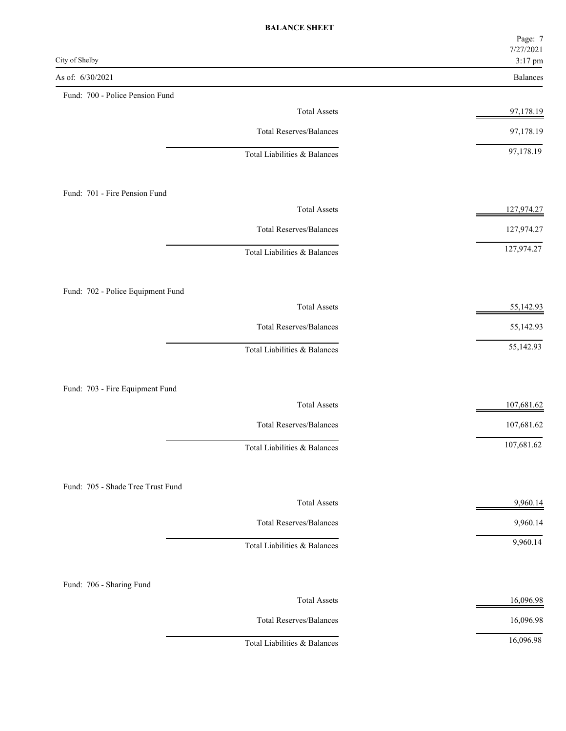|                                   |                                | Page: 7<br>7/27/2021 |
|-----------------------------------|--------------------------------|----------------------|
| City of Shelby                    |                                | 3:17 pm              |
| As of: 6/30/2021                  |                                | Balances             |
| Fund: 700 - Police Pension Fund   |                                |                      |
|                                   | <b>Total Assets</b>            | 97,178.19            |
|                                   | <b>Total Reserves/Balances</b> | 97,178.19            |
|                                   | Total Liabilities & Balances   | 97,178.19            |
| Fund: 701 - Fire Pension Fund     |                                |                      |
|                                   | <b>Total Assets</b>            | 127,974.27           |
|                                   | <b>Total Reserves/Balances</b> | 127,974.27           |
|                                   | Total Liabilities & Balances   | 127,974.27           |
| Fund: 702 - Police Equipment Fund |                                |                      |
|                                   | <b>Total Assets</b>            | 55,142.93            |
|                                   | <b>Total Reserves/Balances</b> | 55,142.93            |
|                                   | Total Liabilities & Balances   | 55,142.93            |
| Fund: 703 - Fire Equipment Fund   |                                |                      |
|                                   | <b>Total Assets</b>            | 107,681.62           |
|                                   | <b>Total Reserves/Balances</b> | 107,681.62           |
|                                   | Total Liabilities & Balances   | 107,681.62           |
| Fund: 705 - Shade Tree Trust Fund |                                |                      |
|                                   | <b>Total Assets</b>            | 9,960.14             |
|                                   | <b>Total Reserves/Balances</b> | 9,960.14             |
|                                   | Total Liabilities & Balances   | 9,960.14             |
| Fund: 706 - Sharing Fund          |                                |                      |
|                                   | <b>Total Assets</b>            | 16,096.98            |
|                                   | <b>Total Reserves/Balances</b> | 16,096.98            |
|                                   | Total Liabilities & Balances   | 16,096.98            |